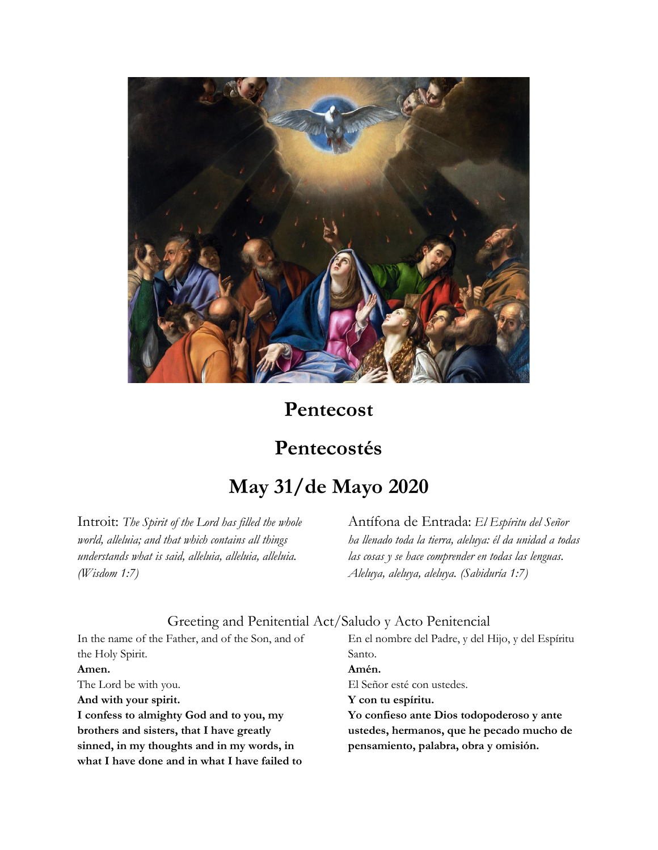

# **Pentecost**

# **Pentecostés**

# **May 31/de Mayo 2020**

Introit: *The Spirit of the Lord has filled the whole world, alleluia; and that which contains all things understands what is said, alleluia, alleluia, alleluia. (Wisdom 1:7)*

Antífona de Entrada: *El Espíritu del Señor ha llenado toda la tierra, aleluya: él da unidad a todas las cosas y se hace comprender en todas las lenguas. Aleluya, aleluya, aleluya. (Sabiduría 1:7)*

Greeting and Penitential Act/Saludo y Acto Penitencial

In the name of the Father, and of the Son, and of the Holy Spirit. **Amen.** The Lord be with you. **And with your spirit. I confess to almighty God and to you, my brothers and sisters, that I have greatly sinned, in my thoughts and in my words, in what I have done and in what I have failed to** 

En el nombre del Padre, y del Hijo, y del Espíritu Santo. **Amén.** El Señor esté con ustedes. **Y con tu espíritu. Yo confieso ante Dios todopoderoso y ante ustedes, hermanos, que he pecado mucho de pensamiento, palabra, obra y omisión.**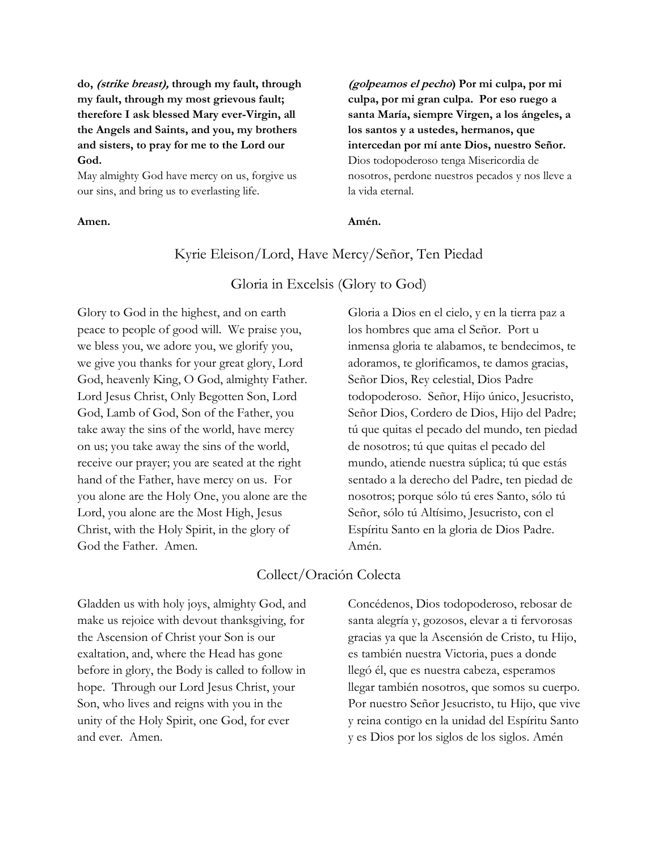**do, (strike breast), through my fault, through my fault, through my most grievous fault; therefore I ask blessed Mary ever-Virgin, all the Angels and Saints, and you, my brothers and sisters, to pray for me to the Lord our God.**

May almighty God have mercy on us, forgive us our sins, and bring us to everlasting life.

**Amen.**

**(golpeamos el pecho) Por mi culpa, por mi culpa, por mi gran culpa. Por eso ruego a santa María, siempre Virgen, a los ángeles, a los santos y a ustedes, hermanos, que intercedan por mí ante Dios, nuestro Señor.** Dios todopoderoso tenga Misericordia de nosotros, perdone nuestros pecados y nos lleve a la vida eternal.

#### **Amén.**

# Kyrie Eleison/Lord, Have Mercy/Señor, Ten Piedad

### Gloria in Excelsis (Glory to God)

Glory to God in the highest, and on earth peace to people of good will. We praise you, we bless you, we adore you, we glorify you, we give you thanks for your great glory, Lord God, heavenly King, O God, almighty Father. Lord Jesus Christ, Only Begotten Son, Lord God, Lamb of God, Son of the Father, you take away the sins of the world, have mercy on us; you take away the sins of the world, receive our prayer; you are seated at the right hand of the Father, have mercy on us. For you alone are the Holy One, you alone are the Lord, you alone are the Most High, Jesus Christ, with the Holy Spirit, in the glory of God the Father. Amen.

Gloria a Dios en el cielo, y en la tierra paz a los hombres que ama el Señor. Port u inmensa gloria te alabamos, te bendecimos, te adoramos, te glorificamos, te damos gracias, Señor Dios, Rey celestial, Dios Padre todopoderoso. Señor, Hijo único, Jesucristo, Señor Dios, Cordero de Dios, Hijo del Padre; tú que quitas el pecado del mundo, ten piedad de nosotros; tú que quitas el pecado del mundo, atiende nuestra súplica; tú que estás sentado a la derecho del Padre, ten piedad de nosotros; porque sólo tú eres Santo, sólo tú Señor, sólo tú Altísimo, Jesucristo, con el Espíritu Santo en la gloria de Dios Padre. Amén.

## Collect/Oración Colecta

Gladden us with holy joys, almighty God, and make us rejoice with devout thanksgiving, for the Ascension of Christ your Son is our exaltation, and, where the Head has gone before in glory, the Body is called to follow in hope. Through our Lord Jesus Christ, your Son, who lives and reigns with you in the unity of the Holy Spirit, one God, for ever and ever. Amen.

Concédenos, Dios todopoderoso, rebosar de santa alegría y, gozosos, elevar a ti fervorosas gracias ya que la Ascensión de Cristo, tu Hijo, es también nuestra Victoria, pues a donde llegó él, que es nuestra cabeza, esperamos llegar también nosotros, que somos su cuerpo. Por nuestro Señor Jesucristo, tu Hijo, que vive y reina contigo en la unidad del Espíritu Santo y es Dios por los siglos de los siglos. Amén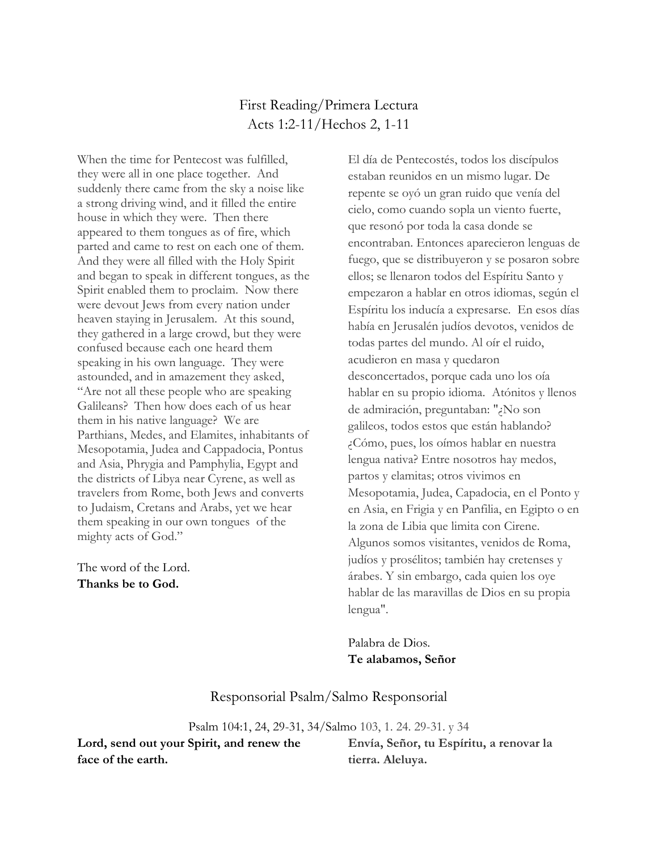# First Reading/Primera Lectura Acts 1:2-11/Hechos 2, 1-11

When the time for Pentecost was fulfilled, they were all in one place together. And suddenly there came from the sky a noise like a strong driving wind, and it filled the entire house in which they were. Then there appeared to them tongues as of fire, which parted and came to rest on each one of them. And they were all filled with the Holy Spirit and began to speak in different tongues, as the Spirit enabled them to proclaim. Now there were devout Jews from every nation under heaven staying in Jerusalem. At this sound, they gathered in a large crowd, but they were confused because each one heard them speaking in his own language. They were astounded, and in amazement they asked, "Are not all these people who are speaking Galileans? Then how does each of us hear them in his native language? We are Parthians, Medes, and Elamites, inhabitants of Mesopotamia, Judea and Cappadocia, Pontus and Asia, Phrygia and Pamphylia, Egypt and the districts of Libya near Cyrene, as well as travelers from Rome, both Jews and converts to Judaism, Cretans and Arabs, yet we hear them speaking in our own tongues of the mighty acts of God."

The word of the Lord. **Thanks be to God.**

El día de Pentecostés, todos los discípulos estaban reunidos en un mismo lugar. De repente se oyó un gran ruido que venía del cielo, como cuando sopla un viento fuerte, que resonó por toda la casa donde se encontraban. Entonces aparecieron lenguas de fuego, que se distribuyeron y se posaron sobre ellos; se llenaron todos del Espíritu Santo y empezaron a hablar en otros idiomas, según el Espíritu los inducía a expresarse. En esos días había en Jerusalén judíos devotos, venidos de todas partes del mundo. Al oír el ruido, acudieron en masa y quedaron desconcertados, porque cada uno los oía hablar en su propio idioma. Atónitos y llenos de admiración, preguntaban: "¿No son galileos, todos estos que están hablando? ¿Cómo, pues, los oímos hablar en nuestra lengua nativa? Entre nosotros hay medos, partos y elamitas; otros vivimos en Mesopotamia, Judea, Capadocia, en el Ponto y en Asia, en Frigia y en Panfilia, en Egipto o en la zona de Libia que limita con Cirene. Algunos somos visitantes, venidos de Roma, judíos y prosélitos; también hay cretenses y árabes. Y sin embargo, cada quien los oye hablar de las maravillas de Dios en su propia lengua".

Palabra de Dios. **Te alabamos, Señor**

#### Responsorial Psalm/Salmo Responsorial

Psalm 104:1, 24, 29-31, 34/Salmo 103, 1. 24. 29-31. y 34

**Lord, send out your Spirit, and renew the face of the earth.**

**Envía, Señor, tu Espíritu, a renovar la tierra. Aleluya.**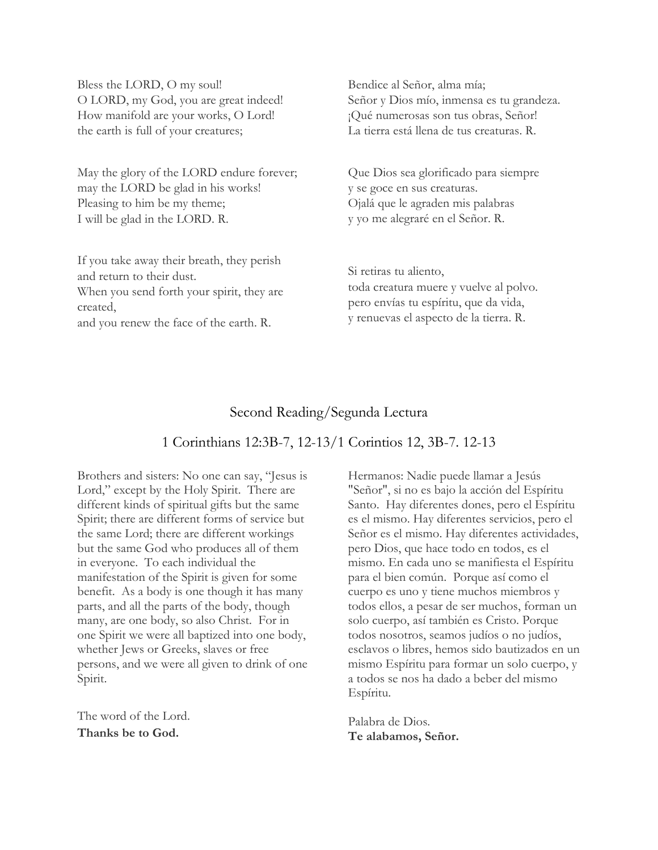Bless the LORD, O my soul! O LORD, my God, you are great indeed! How manifold are your works, O Lord! the earth is full of your creatures;

May the glory of the LORD endure forever; may the LORD be glad in his works! Pleasing to him be my theme; I will be glad in the LORD. R.

If you take away their breath, they perish and return to their dust. When you send forth your spirit, they are created, and you renew the face of the earth. R.

Bendice al Señor, alma mía; Señor y Dios mío, inmensa es tu grandeza. ¡Qué numerosas son tus obras, Señor! La tierra está llena de tus creaturas. R.

Que Dios sea glorificado para siempre y se goce en sus creaturas. Ojalá que le agraden mis palabras y yo me alegraré en el Señor. R.

Si retiras tu aliento, toda creatura muere y vuelve al polvo. pero envías tu espíritu, que da vida, y renuevas el aspecto de la tierra. R.

# Second Reading/Segunda Lectura

### 1 Corinthians 12:3B-7, 12-13/1 Corintios 12, 3B-7. 12-13

Brothers and sisters: No one can say, "Jesus is Lord," except by the Holy Spirit. There are different kinds of spiritual gifts but the same Spirit; there are different forms of service but the same Lord; there are different workings but the same God who produces all of them in everyone. To each individual the manifestation of the Spirit is given for some benefit. As a body is one though it has many parts, and all the parts of the body, though many, are one body, so also Christ. For in one Spirit we were all baptized into one body, whether Jews or Greeks, slaves or free persons, and we were all given to drink of one Spirit.

The word of the Lord. **Thanks be to God.**

Hermanos: Nadie puede llamar a Jesús "Señor", si no es bajo la acción del Espíritu Santo. Hay diferentes dones, pero el Espíritu es el mismo. Hay diferentes servicios, pero el Señor es el mismo. Hay diferentes actividades, pero Dios, que hace todo en todos, es el mismo. En cada uno se manifiesta el Espíritu para el bien común. Porque así como el cuerpo es uno y tiene muchos miembros y todos ellos, a pesar de ser muchos, forman un solo cuerpo, así también es Cristo. Porque todos nosotros, seamos judíos o no judíos, esclavos o libres, hemos sido bautizados en un mismo Espíritu para formar un solo cuerpo, y a todos se nos ha dado a beber del mismo Espíritu.

Palabra de Dios. **Te alabamos, Señor.**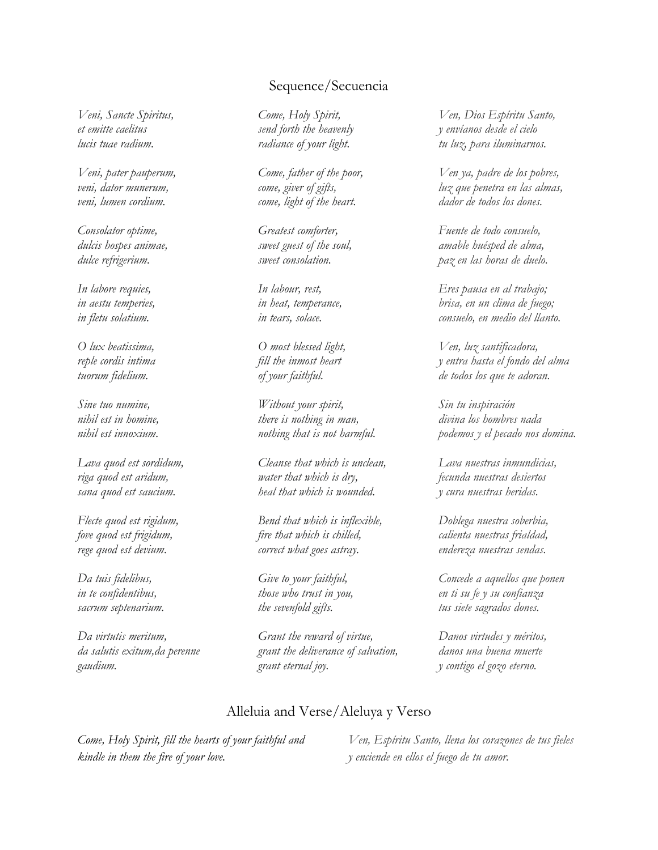### Sequence/Secuencia

*Veni, Sancte Spiritus, et emitte caelitus lucis tuae radium.*

*Veni, pater pauperum, veni, dator munerum, veni, lumen cordium.*

*Consolator optime, dulcis hospes animae, dulce refrigerium.*

*In labore requies, in aestu temperies, in fletu solatium.*

*O lux beatissima, reple cordis intima tuorum fidelium.*

*Sine tuo numine, nihil est in homine, nihil est innoxium.*

*Lava quod est sordidum, riga quod est aridum, sana quod est saucium.*

*Flecte quod est rigidum, fove quod est frigidum, rege quod est devium.*

*Da tuis fidelibus, in te confidentibus, sacrum septenarium.*

*Da virtutis meritum, da salutis exitum,da perenne gaudium.*

*Come, Holy Spirit, send forth the heavenly radiance of your light.*

*Come, father of the poor, come, giver of gifts, come, light of the heart.*

*Greatest comforter, sweet guest of the soul, sweet consolation.*

*In labour, rest, in heat, temperance, in tears, solace.*

*O most blessed light, fill the inmost heart of your faithful.*

*Without your spirit, there is nothing in man, nothing that is not harmful.*

*Cleanse that which is unclean, water that which is dry, heal that which is wounded.*

*Bend that which is inflexible, fire that which is chilled, correct what goes astray.*

*Give to your faithful, those who trust in you, the sevenfold gifts.*

*Grant the reward of virtue, grant the deliverance of salvation, grant eternal joy.*

*Ven, Dios Espíritu Santo, y envíanos desde el cielo tu luz, para iluminarnos.*

*Ven ya, padre de los pobres, luz que penetra en las almas, dador de todos los dones.*

*Fuente de todo consuelo, amable huésped de alma, paz en las horas de duelo.*

*Eres pausa en al trabajo; brisa, en un clima de fuego; consuelo, en medio del llanto.*

*Ven, luz santificadora, y entra hasta el fondo del alma de todos los que te adoran.*

*Sin tu inspiración divina los hombres nada podemos y el pecado nos domina.*

*Lava nuestras inmundicias, fecunda nuestras desiertos y cura nuestras heridas.*

*Doblega nuestra soberbia, calienta nuestras frialdad, endereza nuestras sendas.*

*Concede a aquellos que ponen en ti su fe y su confianza tus siete sagrados dones.*

*Danos virtudes y méritos, danos una buena muerte y contigo el gozo eterno.*

# Alleluia and Verse/Aleluya y Verso

*Come, Holy Spirit, fill the hearts of your faithful and kindle in them the fire of your love.*

*Ven, Espíritu Santo, llena los corazones de tus fieles y enciende en ellos el fuego de tu amor.*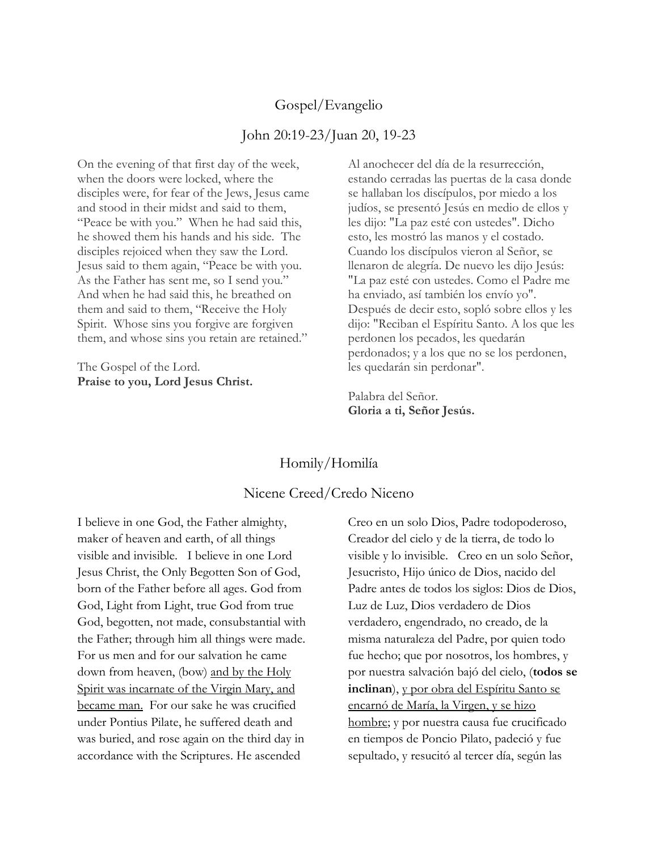### Gospel/Evangelio

#### John 20:19-23/Juan 20, 19-23

On the evening of that first day of the week, when the doors were locked, where the disciples were, for fear of the Jews, Jesus came and stood in their midst and said to them, "Peace be with you." When he had said this, he showed them his hands and his side. The disciples rejoiced when they saw the Lord. Jesus said to them again, "Peace be with you. As the Father has sent me, so I send you." And when he had said this, he breathed on them and said to them, "Receive the Holy Spirit. Whose sins you forgive are forgiven them, and whose sins you retain are retained."

The Gospel of the Lord. **Praise to you, Lord Jesus Christ.** Al anochecer del día de la resurrección, estando cerradas las puertas de la casa donde se hallaban los discípulos, por miedo a los judíos, se presentó Jesús en medio de ellos y les dijo: "La paz esté con ustedes". Dicho esto, les mostró las manos y el costado. Cuando los discípulos vieron al Señor, se llenaron de alegría. De nuevo les dijo Jesús: "La paz esté con ustedes. Como el Padre me ha enviado, así también los envío yo". Después de decir esto, sopló sobre ellos y les dijo: "Reciban el Espíritu Santo. A los que les perdonen los pecados, les quedarán perdonados; y a los que no se los perdonen, les quedarán sin perdonar".

Palabra del Señor. **Gloria a ti, Señor Jesús.**

### Homily/Homilía

#### Nicene Creed/Credo Niceno

I believe in one God, the Father almighty, maker of heaven and earth, of all things visible and invisible. I believe in one Lord Jesus Christ, the Only Begotten Son of God, born of the Father before all ages. God from God, Light from Light, true God from true God, begotten, not made, consubstantial with the Father; through him all things were made. For us men and for our salvation he came down from heaven, (bow) and by the Holy Spirit was incarnate of the Virgin Mary, and became man. For our sake he was crucified under Pontius Pilate, he suffered death and was buried, and rose again on the third day in accordance with the Scriptures. He ascended

Creo en un solo Dios, Padre todopoderoso, Creador del cielo y de la tierra, de todo lo visible y lo invisible. Creo en un solo Señor, Jesucristo, Hijo único de Dios, nacido del Padre antes de todos los siglos: Dios de Dios, Luz de Luz, Dios verdadero de Dios verdadero, engendrado, no creado, de la misma naturaleza del Padre, por quien todo fue hecho; que por nosotros, los hombres, y por nuestra salvación bajó del cielo, (**todos se inclinan**), y por obra del Espíritu Santo se encarnó de María, la Virgen, y se hizo hombre; y por nuestra causa fue crucificado en tiempos de Poncio Pilato, padeció y fue sepultado, y resucitó al tercer día, según las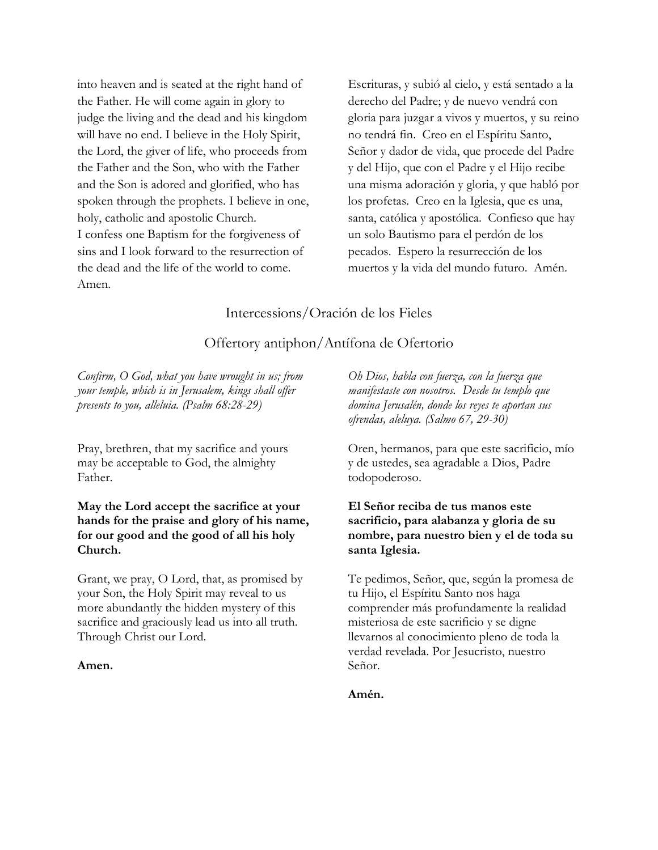into heaven and is seated at the right hand of the Father. He will come again in glory to judge the living and the dead and his kingdom will have no end. I believe in the Holy Spirit, the Lord, the giver of life, who proceeds from the Father and the Son, who with the Father and the Son is adored and glorified, who has spoken through the prophets. I believe in one, holy, catholic and apostolic Church. I confess one Baptism for the forgiveness of sins and I look forward to the resurrection of the dead and the life of the world to come. Amen.

Escrituras, y subió al cielo, y está sentado a la derecho del Padre; y de nuevo vendrá con gloria para juzgar a vivos y muertos, y su reino no tendrá fin. Creo en el Espíritu Santo, Señor y dador de vida, que procede del Padre y del Hijo, que con el Padre y el Hijo recibe una misma adoración y gloria, y que habló por los profetas. Creo en la Iglesia, que es una, santa, católica y apostólica. Confieso que hay un solo Bautismo para el perdón de los pecados. Espero la resurrección de los muertos y la vida del mundo futuro. Amén.

# Intercessions/Oración de los Fieles

# Offertory antiphon/Antífona de Ofertorio

*Confirm, O God, what you have wrought in us; from your temple, which is in Jerusalem, kings shall offer presents to you, alleluia. (Psalm 68:28-29)*

Pray, brethren, that my sacrifice and yours may be acceptable to God, the almighty Father.

## **May the Lord accept the sacrifice at your hands for the praise and glory of his name, for our good and the good of all his holy Church.**

Grant, we pray, O Lord, that, as promised by your Son, the Holy Spirit may reveal to us more abundantly the hidden mystery of this sacrifice and graciously lead us into all truth. Through Christ our Lord.

### **Amen.**

*Oh Dios, habla con fuerza, con la fuerza que manifestaste con nosotros. Desde tu templo que domina Jerusalén, donde los reyes te aportan sus ofrendas, aleluya. (Salmo 67, 29-30)*

Oren, hermanos, para que este sacrificio, mío y de ustedes, sea agradable a Dios, Padre todopoderoso.

## **El Señor reciba de tus manos este sacrificio, para alabanza y gloria de su nombre, para nuestro bien y el de toda su santa Iglesia.**

Te pedimos, Señor, que, según la promesa de tu Hijo, el Espíritu Santo nos haga comprender más profundamente la realidad misteriosa de este sacrificio y se digne llevarnos al conocimiento pleno de toda la verdad revelada. Por Jesucristo, nuestro Señor.

#### **Amén.**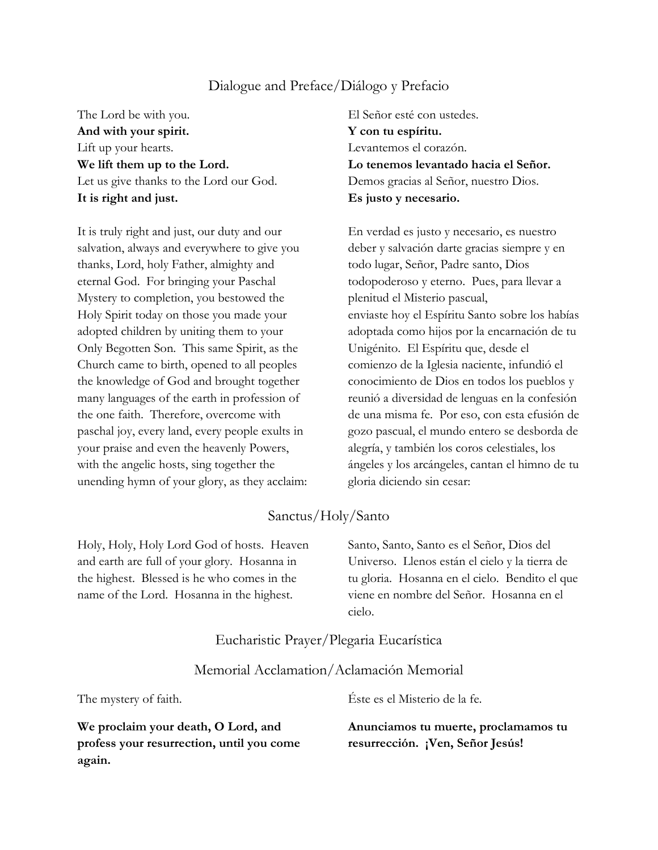# Dialogue and Preface/Diálogo y Prefacio

The Lord be with you. **And with your spirit.** Lift up your hearts. **We lift them up to the Lord.** Let us give thanks to the Lord our God. **It is right and just.**

It is truly right and just, our duty and our salvation, always and everywhere to give you thanks, Lord, holy Father, almighty and eternal God. For bringing your Paschal Mystery to completion, you bestowed the Holy Spirit today on those you made your adopted children by uniting them to your Only Begotten Son. This same Spirit, as the Church came to birth, opened to all peoples the knowledge of God and brought together many languages of the earth in profession of the one faith. Therefore, overcome with paschal joy, every land, every people exults in your praise and even the heavenly Powers, with the angelic hosts, sing together the unending hymn of your glory, as they acclaim:

El Señor esté con ustedes. **Y con tu espíritu.** Levantemos el corazón. **Lo tenemos levantado hacia el Señor.** Demos gracias al Señor, nuestro Dios. **Es justo y necesario.**

En verdad es justo y necesario, es nuestro deber y salvación darte gracias siempre y en todo lugar, Señor, Padre santo, Dios todopoderoso y eterno. Pues, para llevar a plenitud el Misterio pascual, enviaste hoy el Espíritu Santo sobre los habías adoptada como hijos por la encarnación de tu Unigénito. El Espíritu que, desde el comienzo de la Iglesia naciente, infundió el conocimiento de Dios en todos los pueblos y reunió a diversidad de lenguas en la confesión de una misma fe. Por eso, con esta efusión de gozo pascual, el mundo entero se desborda de alegría, y también los coros celestiales, los ángeles y los arcángeles, cantan el himno de tu gloria diciendo sin cesar:

# Sanctus/Holy/Santo

Holy, Holy, Holy Lord God of hosts. Heaven and earth are full of your glory. Hosanna in the highest. Blessed is he who comes in the name of the Lord. Hosanna in the highest.

Santo, Santo, Santo es el Señor, Dios del Universo. Llenos están el cielo y la tierra de tu gloria. Hosanna en el cielo. Bendito el que viene en nombre del Señor. Hosanna en el cielo.

# Eucharistic Prayer/Plegaria Eucarística

## Memorial Acclamation/Aclamación Memorial

The mystery of faith.

**We proclaim your death, O Lord, and profess your resurrection, until you come again.**

Éste es el Misterio de la fe.

**Anunciamos tu muerte, proclamamos tu resurrección. ¡Ven, Señor Jesús!**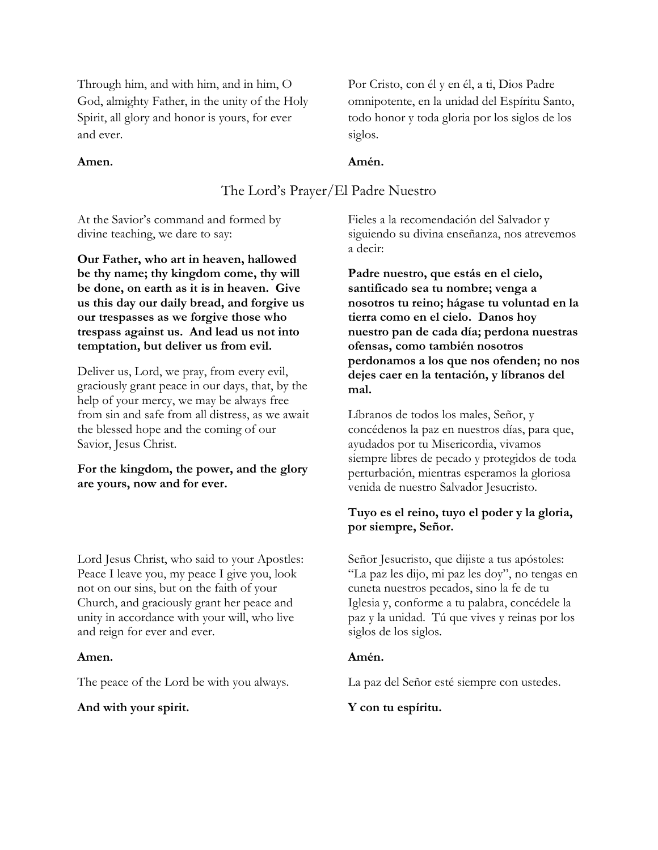Through him, and with him, and in him, O God, almighty Father, in the unity of the Holy Spirit, all glory and honor is yours, for ever and ever.

#### **Amen.**

Por Cristo, con él y en él, a ti, Dios Padre omnipotente, en la unidad del Espíritu Santo, todo honor y toda gloria por los siglos de los siglos.

#### **Amén.**

# The Lord's Prayer/El Padre Nuestro

At the Savior's command and formed by divine teaching, we dare to say:

**Our Father, who art in heaven, hallowed be thy name; thy kingdom come, thy will be done, on earth as it is in heaven. Give us this day our daily bread, and forgive us our trespasses as we forgive those who trespass against us. And lead us not into temptation, but deliver us from evil.**

Deliver us, Lord, we pray, from every evil, graciously grant peace in our days, that, by the help of your mercy, we may be always free from sin and safe from all distress, as we await the blessed hope and the coming of our Savior, Jesus Christ.

### **For the kingdom, the power, and the glory are yours, now and for ever.**

Lord Jesus Christ, who said to your Apostles: Peace I leave you, my peace I give you, look not on our sins, but on the faith of your Church, and graciously grant her peace and unity in accordance with your will, who live and reign for ever and ever.

#### **Amen.**

The peace of the Lord be with you always.

#### **And with your spirit.**

Fieles a la recomendación del Salvador y siguiendo su divina enseñanza, nos atrevemos a decir:

**Padre nuestro, que estás en el cielo, santificado sea tu nombre; venga a nosotros tu reino; hágase tu voluntad en la tierra como en el cielo. Danos hoy nuestro pan de cada día; perdona nuestras ofensas, como también nosotros perdonamos a los que nos ofenden; no nos dejes caer en la tentación, y líbranos del mal.**

Líbranos de todos los males, Señor, y concédenos la paz en nuestros días, para que, ayudados por tu Misericordia, vivamos siempre libres de pecado y protegidos de toda perturbación, mientras esperamos la gloriosa venida de nuestro Salvador Jesucristo.

### **Tuyo es el reino, tuyo el poder y la gloria, por siempre, Señor.**

Señor Jesucristo, que dijiste a tus apóstoles: "La paz les dijo, mi paz les doy", no tengas en cuneta nuestros pecados, sino la fe de tu Iglesia y, conforme a tu palabra, concédele la paz y la unidad. Tú que vives y reinas por los siglos de los siglos.

#### **Amén.**

La paz del Señor esté siempre con ustedes.

#### **Y con tu espíritu.**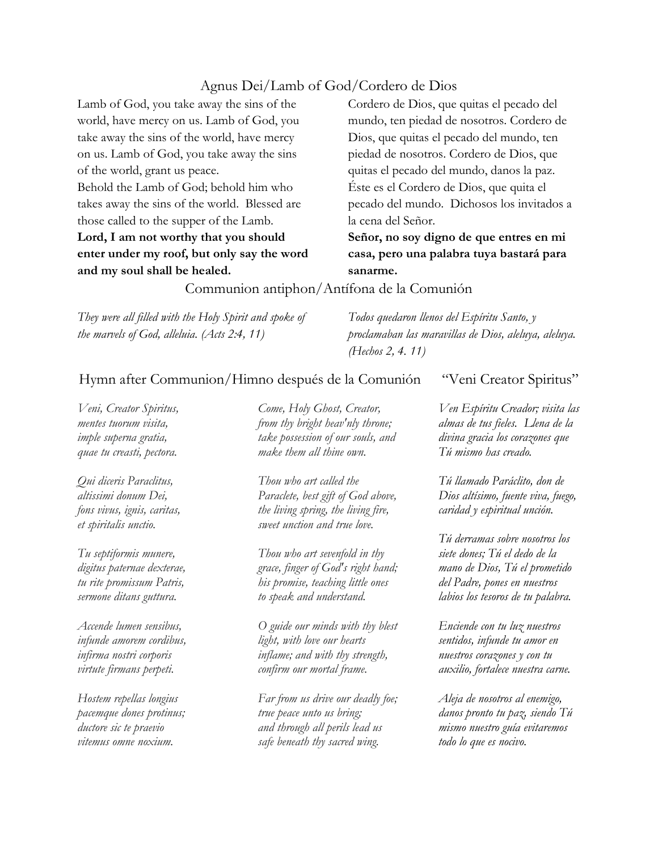# Agnus Dei/Lamb of God/Cordero de Dios

Lamb of God, you take away the sins of the world, have mercy on us. Lamb of God, you take away the sins of the world, have mercy on us. Lamb of God, you take away the sins of the world, grant us peace. Behold the Lamb of God; behold him who takes away the sins of the world. Blessed are those called to the supper of the Lamb. **Lord, I am not worthy that you should enter under my roof, but only say the word and my soul shall be healed.**

Cordero de Dios, que quitas el pecado del mundo, ten piedad de nosotros. Cordero de Dios, que quitas el pecado del mundo, ten piedad de nosotros. Cordero de Dios, que quitas el pecado del mundo, danos la paz. Éste es el Cordero de Dios, que quita el pecado del mundo. Dichosos los invitados a la cena del Señor.

**Señor, no soy digno de que entres en mi casa, pero una palabra tuya bastará para sanarme.**

# Communion antiphon/Antífona de la Comunión

*They were all filled with the Holy Spirit and spoke of the marvels of God, alleluia. (Acts 2:4, 11)*

*Todos quedaron llenos del Espíritu Santo, y proclamaban las maravillas de Dios, aleluya, aleluya. (Hechos 2, 4. 11)*

# Hymn after Communion/Himno después de la Comunión "Veni Creator Spiritus"

*Veni, Creator Spiritus, mentes tuorum visita, imple superna gratia, quae tu creasti, pectora.*

*Qui diceris Paraclitus, altissimi donum Dei, fons vivus, ignis, caritas, et spiritalis unctio.*

*Tu septiformis munere, digitus paternae dexterae, tu rite promissum Patris, sermone ditans guttura.*

*Accende lumen sensibus, infunde amorem cordibus, infirma nostri corporis virtute firmans perpeti.*

*Hostem repellas longius pacemque dones protinus; ductore sic te praevio vitemus omne noxium.*

*Come, Holy Ghost, Creator, from thy bright heav'nly throne; take possession of our souls, and make them all thine own.*

*Thou who art called the Paraclete, best gift of God above, the living spring, the living fire, sweet unction and true love.*

*Thou who art sevenfold in thy grace, finger of God's right hand; his promise, teaching little ones to speak and understand.*

*O guide our minds with thy blest light, with love our hearts inflame; and with thy strength, confirm our mortal frame.*

*Far from us drive our deadly foe; true peace unto us bring; and through all perils lead us safe beneath thy sacred wing.*

*Ven Espíritu Creador; visita las almas de tus fieles. Llena de la divina gracia los corazones que Tú mismo has creado.*

*Tú llamado Paráclito, don de Dios altísimo, fuente viva, fuego, caridad y espiritual unción.*

*Tú derramas sobre nosotros los siete dones; Tú el dedo de la mano de Dios, Tú el prometido del Padre, pones en nuestros labios los tesoros de tu palabra.*

*Enciende con tu luz nuestros sentidos, infunde tu amor en nuestros corazones y con tu auxilio, fortalece nuestra carne.*

*Aleja de nosotros al enemigo, danos pronto tu paz, siendo Tú mismo nuestro guía evitaremos todo lo que es nocivo.*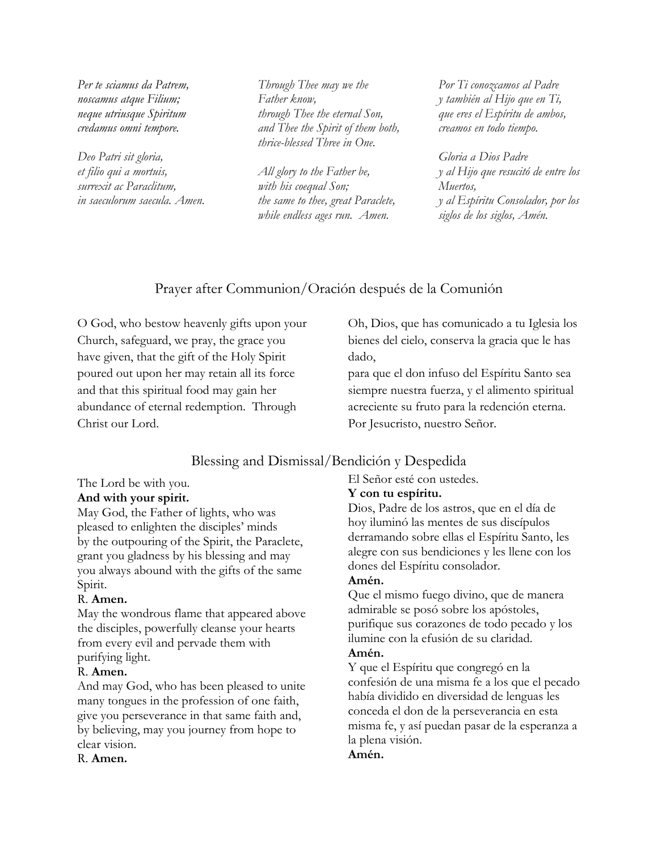*Per te sciamus da Patrem, noscamus atque Filium; neque utriusque Spiritum credamus omni tempore.*

*Deo Patri sit gloria, et filio qui a mortuis, surrexit ac Paraclitum, in saeculorum saecula. Amen.*

*Through Thee may we the Father know, through Thee the eternal Son, and Thee the Spirit of them both, thrice-blessed Three in One.*

*All glory to the Father be, with his coequal Son; the same to thee, great Paraclete, while endless ages run. Amen.*

*Por Ti conozcamos al Padre y también al Hijo que en Ti, que eres el Espíritu de ambos, creamos en todo tiempo.*

*Gloria a Dios Padre y al Hijo que resucitó de entre los Muertos, y al Espíritu Consolador, por los siglos de los siglos, Amén.*

# Prayer after Communion/Oración después de la Comunión

O God, who bestow heavenly gifts upon your Church, safeguard, we pray, the grace you have given, that the gift of the Holy Spirit poured out upon her may retain all its force and that this spiritual food may gain her abundance of eternal redemption. Through Christ our Lord.

Oh, Dios, que has comunicado a tu Iglesia los bienes del cielo, conserva la gracia que le has dado,

para que el don infuso del Espíritu Santo sea siempre nuestra fuerza, y el alimento spiritual acreciente su fruto para la redención eterna. Por Jesucristo, nuestro Señor.

# Blessing and Dismissal/Bendición y Despedida

The Lord be with you.

# **And with your spirit.**

May God, the Father of lights, who was pleased to enlighten the disciples' minds by the outpouring of the Spirit, the Paraclete, grant you gladness by his blessing and may you always abound with the gifts of the same Spirit.

### R. **Amen.**

May the wondrous flame that appeared above the disciples, powerfully cleanse your hearts from every evil and pervade them with purifying light.

### R. **Amen.**

And may God, who has been pleased to unite many tongues in the profession of one faith, give you perseverance in that same faith and, by believing, may you journey from hope to clear vision.

## R. **Amen.**

El Señor esté con ustedes.

# **Y con tu espíritu.**

Dios, Padre de los astros, que en el día de hoy iluminó las mentes de sus discípulos derramando sobre ellas el Espíritu Santo, les alegre con sus bendiciones y les llene con los dones del Espíritu consolador.

### **Amén.**

Que el mismo fuego divino, que de manera admirable se posó sobre los apóstoles, purifique sus corazones de todo pecado y los ilumine con la efusión de su claridad. **Amén.**

Y que el Espíritu que congregó en la confesión de una misma fe a los que el pecado había dividido en diversidad de lenguas les conceda el don de la perseverancia en esta misma fe, y así puedan pasar de la esperanza a la plena visión.

# **Amén.**